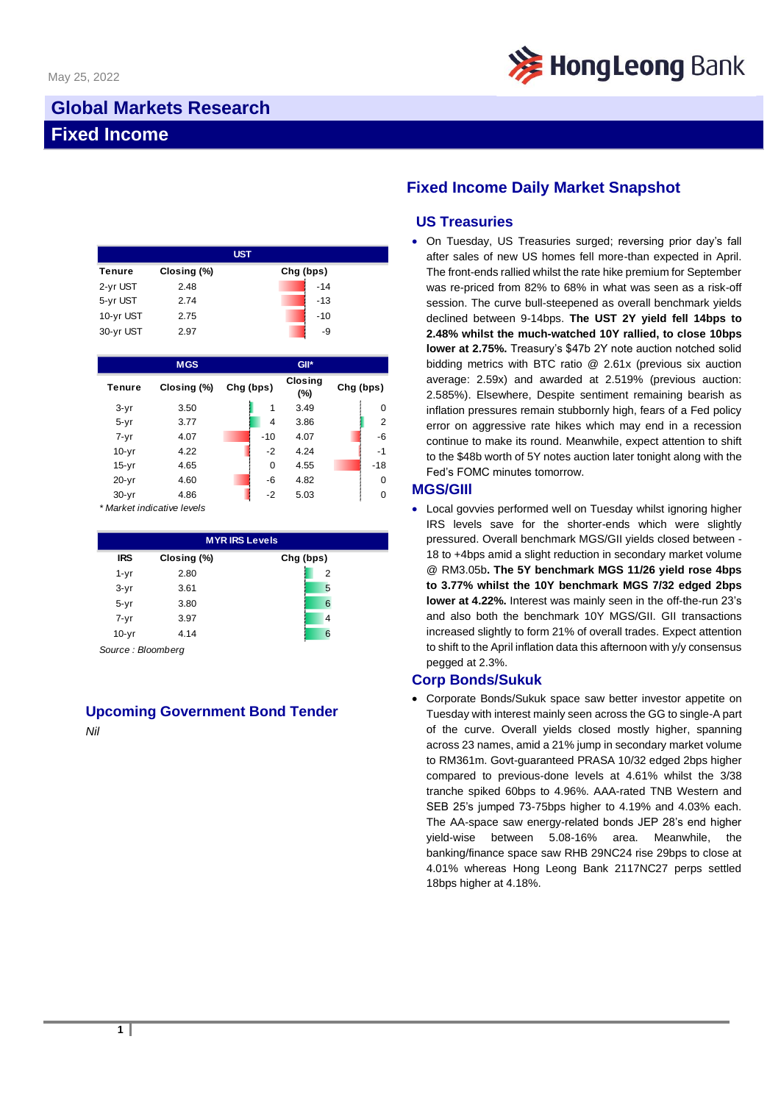

## **Global Markets Research Fixed Income**

| <b>UST</b>    |             |           |  |  |  |  |
|---------------|-------------|-----------|--|--|--|--|
| <b>Tenure</b> | Closing (%) | Chg (bps) |  |  |  |  |
| 2-yr UST      | 2.48        | $-14$     |  |  |  |  |
| 5-yr UST      | 2.74        | $-13$     |  |  |  |  |
| 10-yr UST     | 2.75        | $-10$     |  |  |  |  |
| 30-yr UST     | 2.97        | -9        |  |  |  |  |

|               | <b>MGS</b>  |           |                | $GII^*$               |           |                |
|---------------|-------------|-----------|----------------|-----------------------|-----------|----------------|
| <b>Tenure</b> | Closing (%) | Chg (bps) |                | <b>Closing</b><br>(%) | Chg (bps) |                |
| $3-yr$        | 3.50        |           | 1              | 3.49                  |           | 0              |
| $5 - yr$      | 3.77        |           | $\overline{4}$ | 3.86                  |           | $\overline{2}$ |
| $7 - yr$      | 4.07        |           | $-10$          | 4.07                  |           | $-6$           |
| $10-yr$       | 4.22        |           | $-2$           | 4.24                  |           | $-1$           |
| $15-yr$       | 4.65        |           | 0              | 4.55                  |           | $-18$          |
| $20-yr$       | 4.60        |           | -6             | 4.82                  |           | $\Omega$       |
| $30 - yr$     | 4.86        |           | $-2$           | 5.03                  |           | $\Omega$       |

*\* Market indicative levels*

| <b>MYRIRS Levels</b> |             |           |  |  |  |  |
|----------------------|-------------|-----------|--|--|--|--|
| <b>IRS</b>           | Closing (%) | Chg (bps) |  |  |  |  |
| $1 - yr$             | 2.80        | 2         |  |  |  |  |
| $3-yr$               | 3.61        | 5         |  |  |  |  |
| $5 - yr$             | 3.80        | 6         |  |  |  |  |
| $7 - yr$             | 3.97        | 4         |  |  |  |  |
| $10-yr$              | 4.14        | 6         |  |  |  |  |

*Source : Bloomberg*

# **Upcoming Government Bond Tender**

*Nil*

## **Fixed Income Daily Market Snapshot**

### **US Treasuries**

• On Tuesday, US Treasuries surged; reversing prior day's fall after sales of new US homes fell more-than expected in April. The front-ends rallied whilst the rate hike premium for September was re-priced from 82% to 68% in what was seen as a risk-off session. The curve bull-steepened as overall benchmark yields declined between 9-14bps. **The UST 2Y yield fell 14bps to 2.48% whilst the much-watched 10Y rallied, to close 10bps lower at 2.75%.** Treasury's \$47b 2Y note auction notched solid bidding metrics with BTC ratio @ 2.61x (previous six auction average: 2.59x) and awarded at 2.519% (previous auction: 2.585%). Elsewhere, Despite sentiment remaining bearish as inflation pressures remain stubbornly high, fears of a Fed policy error on aggressive rate hikes which may end in a recession continue to make its round. Meanwhile, expect attention to shift to the \$48b worth of 5Y notes auction later tonight along with the Fed's FOMC minutes tomorrow.

#### **MGS/GIIl**

• Local govvies performed well on Tuesday whilst ignoring higher IRS levels save for the shorter-ends which were slightly pressured. Overall benchmark MGS/GII yields closed between - 18 to +4bps amid a slight reduction in secondary market volume @ RM3.05b**. The 5Y benchmark MGS 11/26 yield rose 4bps to 3.77% whilst the 10Y benchmark MGS 7/32 edged 2bps lower at 4.22%.** Interest was mainly seen in the off-the-run 23's and also both the benchmark 10Y MGS/GII. GII transactions increased slightly to form 21% of overall trades. Expect attention to shift to the April inflation data this afternoon with y/y consensus pegged at 2.3%.

#### **Corp Bonds/Sukuk**

• Corporate Bonds/Sukuk space saw better investor appetite on Tuesday with interest mainly seen across the GG to single-A part of the curve. Overall yields closed mostly higher, spanning across 23 names, amid a 21% jump in secondary market volume to RM361m. Govt-guaranteed PRASA 10/32 edged 2bps higher compared to previous-done levels at 4.61% whilst the 3/38 tranche spiked 60bps to 4.96%. AAA-rated TNB Western and SEB 25's jumped 73-75bps higher to 4.19% and 4.03% each. The AA-space saw energy-related bonds JEP 28's end higher yield-wise between 5.08-16% area. Meanwhile, the banking/finance space saw RHB 29NC24 rise 29bps to close at 4.01% whereas Hong Leong Bank 2117NC27 perps settled 18bps higher at 4.18%.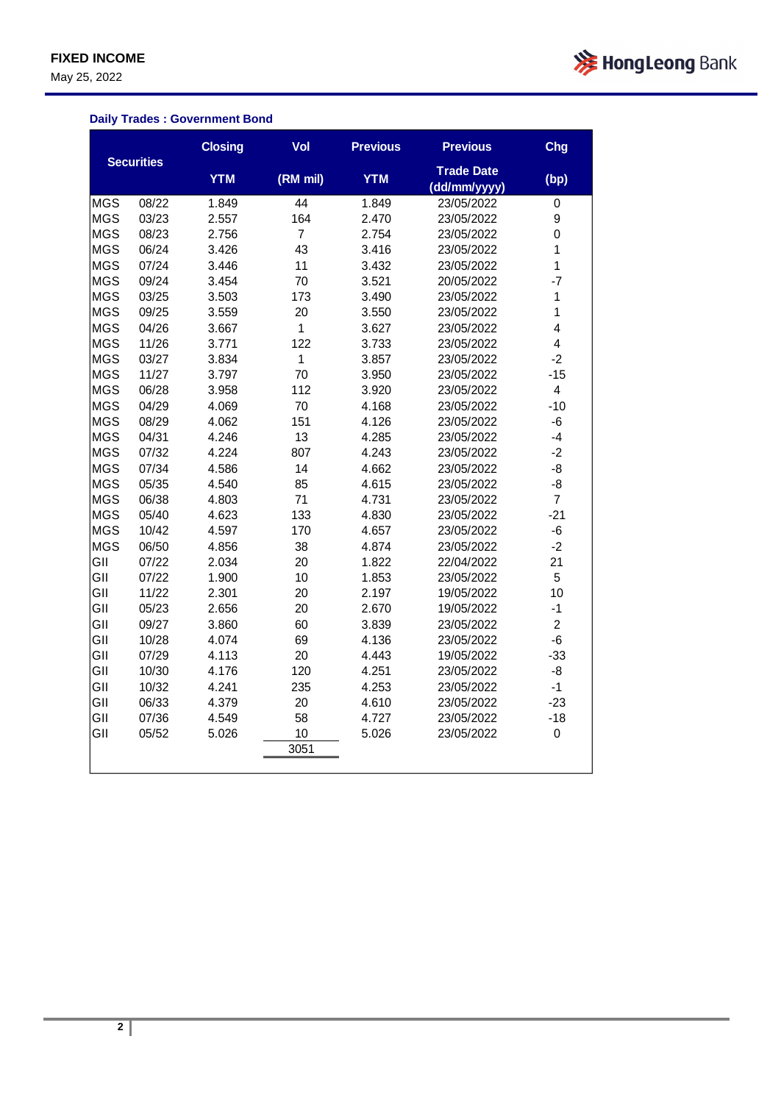May 25, 2022



### **Daily Trades : Government Bond**

|            |                   | <b>Closing</b> | Vol            | <b>Previous</b> | <b>Previous</b>                   | Chg                     |
|------------|-------------------|----------------|----------------|-----------------|-----------------------------------|-------------------------|
|            | <b>Securities</b> | <b>YTM</b>     | (RM mil)       | <b>YTM</b>      | <b>Trade Date</b><br>(dd/mm/yyyy) | (bp)                    |
| <b>MGS</b> | 08/22             | 1.849          | 44             | 1.849           | 23/05/2022                        | $\pmb{0}$               |
| <b>MGS</b> | 03/23             | 2.557          | 164            | 2.470           | 23/05/2022                        | 9                       |
| <b>MGS</b> | 08/23             | 2.756          | $\overline{7}$ | 2.754           | 23/05/2022                        | 0                       |
| <b>MGS</b> | 06/24             | 3.426          | 43             | 3.416           | 23/05/2022                        | $\mathbf{1}$            |
| <b>MGS</b> | 07/24             | 3.446          | 11             | 3.432           | 23/05/2022                        | $\mathbf{1}$            |
| <b>MGS</b> | 09/24             | 3.454          | 70             | 3.521           | 20/05/2022                        | $-7$                    |
| <b>MGS</b> | 03/25             | 3.503          | 173            | 3.490           | 23/05/2022                        | $\mathbf{1}$            |
| <b>MGS</b> | 09/25             | 3.559          | 20             | 3.550           | 23/05/2022                        | $\mathbf{1}$            |
| <b>MGS</b> | 04/26             | 3.667          | $\mathbf{1}$   | 3.627           | 23/05/2022                        | $\overline{\mathbf{4}}$ |
| <b>MGS</b> | 11/26             | 3.771          | 122            | 3.733           | 23/05/2022                        | $\overline{4}$          |
| <b>MGS</b> | 03/27             | 3.834          | $\mathbf{1}$   | 3.857           | 23/05/2022                        | $-2$                    |
| <b>MGS</b> | 11/27             | 3.797          | 70             | 3.950           | 23/05/2022                        | $-15$                   |
| <b>MGS</b> | 06/28             | 3.958          | 112            | 3.920           | 23/05/2022                        | 4                       |
| <b>MGS</b> | 04/29             | 4.069          | 70             | 4.168           | 23/05/2022                        | $-10$                   |
| <b>MGS</b> | 08/29             | 4.062          | 151            | 4.126           | 23/05/2022                        | $-6$                    |
| <b>MGS</b> | 04/31             | 4.246          | 13             | 4.285           | 23/05/2022                        | $-4$                    |
| <b>MGS</b> | 07/32             | 4.224          | 807            | 4.243           | 23/05/2022                        | $-2$                    |
| <b>MGS</b> | 07/34             | 4.586          | 14             | 4.662           | 23/05/2022                        | -8                      |
| <b>MGS</b> | 05/35             | 4.540          | 85             | 4.615           | 23/05/2022                        | $-8$                    |
| <b>MGS</b> | 06/38             | 4.803          | 71             | 4.731           | 23/05/2022                        | $\overline{7}$          |
| <b>MGS</b> | 05/40             | 4.623          | 133            | 4.830           | 23/05/2022                        | $-21$                   |
| <b>MGS</b> | 10/42             | 4.597          | 170            | 4.657           | 23/05/2022                        | $-6$                    |
| <b>MGS</b> | 06/50             | 4.856          | 38             | 4.874           | 23/05/2022                        | $-2$                    |
| GII        | 07/22             | 2.034          | 20             | 1.822           | 22/04/2022                        | 21                      |
| GII        | 07/22             | 1.900          | 10             | 1.853           | 23/05/2022                        | 5                       |
| GII        | 11/22             | 2.301          | 20             | 2.197           | 19/05/2022                        | 10                      |
| GII        | 05/23             | 2.656          | 20             | 2.670           | 19/05/2022                        | $-1$                    |
| GII        | 09/27             | 3.860          | 60             | 3.839           | 23/05/2022                        | $\overline{a}$          |
| GII        | 10/28             | 4.074          | 69             | 4.136           | 23/05/2022                        | $-6$                    |
| GII        | 07/29             | 4.113          | 20             | 4.443           | 19/05/2022                        | $-33$                   |
| GII        | 10/30             | 4.176          | 120            | 4.251           | 23/05/2022                        | -8                      |
| GII        | 10/32             | 4.241          | 235            | 4.253           | 23/05/2022                        | $-1$                    |
| GII        | 06/33             | 4.379          | 20             | 4.610           | 23/05/2022                        | $-23$                   |
| GII        | 07/36             | 4.549          | 58             | 4.727           | 23/05/2022                        | $-18$                   |
| GII        | 05/52             | 5.026          | 10             | 5.026           | 23/05/2022                        | 0                       |
|            |                   |                | 3051           |                 |                                   |                         |
|            |                   |                |                |                 |                                   |                         |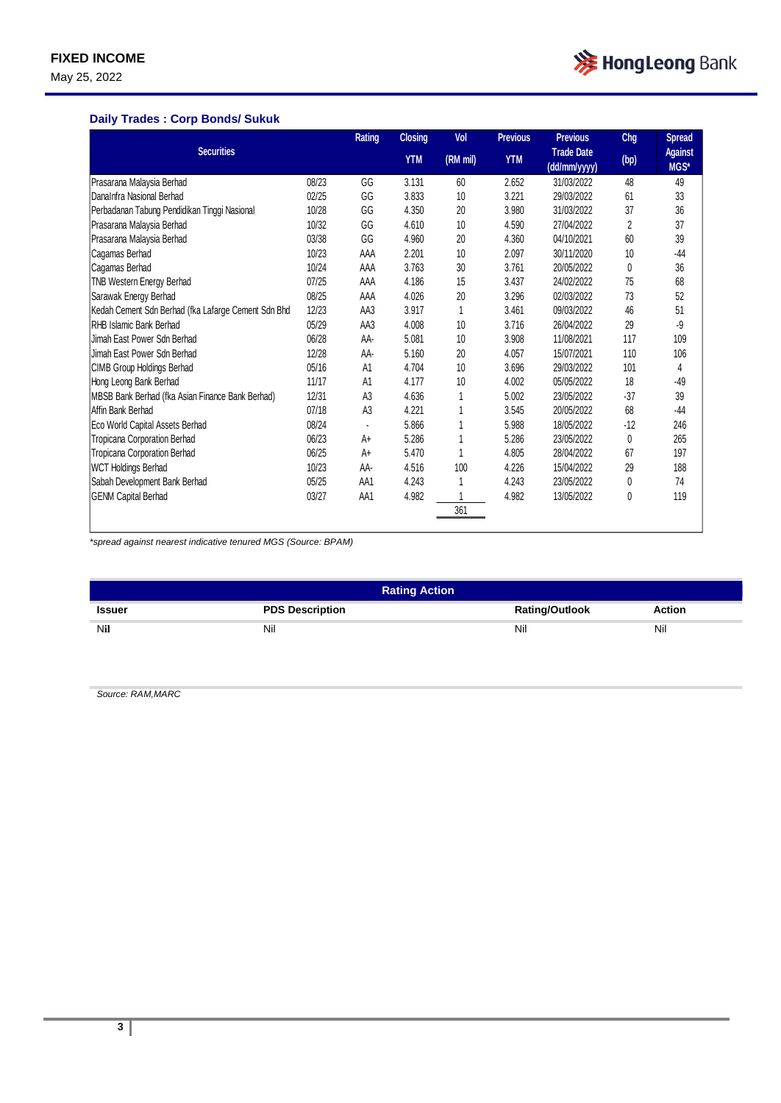May 25, 2022



### **Daily Trades : Corp Bonds/ Sukuk**

|                                                     |       | Rating         | <b>Closing</b> | Vol      | <b>Previous</b> | <b>Previous</b>                   | Chg   | <b>Spread</b>          |
|-----------------------------------------------------|-------|----------------|----------------|----------|-----------------|-----------------------------------|-------|------------------------|
| <b>Securities</b>                                   |       |                | <b>YTM</b>     | (RM mil) | <b>YTM</b>      | <b>Trade Date</b><br>(dd/mm/yyyy) | (bp)  | <b>Against</b><br>MGS* |
| Prasarana Malaysia Berhad                           | 08/23 | GG             | 3.131          | 60       | 2.652           | 31/03/2022                        | 48    | 49                     |
| DanaInfra Nasional Berhad                           | 02/25 | GG             | 3.833          | 10       | 3.221           | 29/03/2022                        | 61    | 33                     |
| Perbadanan Tabung Pendidikan Tinggi Nasional        | 10/28 | GG             | 4.350          | 20       | 3.980           | 31/03/2022                        | 37    | 36                     |
| Prasarana Malaysia Berhad                           | 10/32 | GG             | 4.610          | 10       | 4.590           | 27/04/2022                        | 2     | 37                     |
| Prasarana Malaysia Berhad                           | 03/38 | GG             | 4.960          | 20       | 4.360           | 04/10/2021                        | 60    | 39                     |
| Cagamas Berhad                                      | 10/23 | AAA            | 2.201          | 10       | 2.097           | 30/11/2020                        | 10    | $-44$                  |
| Cagamas Berhad                                      | 10/24 | AAA            | 3.763          | 30       | 3.761           | 20/05/2022                        | 0     | 36                     |
| TNB Western Energy Berhad                           | 07/25 | AAA            | 4.186          | 15       | 3.437           | 24/02/2022                        | 75    | 68                     |
| Sarawak Energy Berhad                               | 08/25 | AAA            | 4.026          | 20       | 3.296           | 02/03/2022                        | 73    | 52                     |
| Kedah Cement Sdn Berhad (fka Lafarge Cement Sdn Bhd | 12/23 | AA3            | 3.917          | 1        | 3.461           | 09/03/2022                        | 46    | 51                     |
| RHB Islamic Bank Berhad                             | 05/29 | AA3            | 4.008          | 10       | 3.716           | 26/04/2022                        | 29    | -9                     |
| Jimah East Power Sdn Berhad                         | 06/28 | AA-            | 5.081          | 10       | 3.908           | 11/08/2021                        | 117   | 109                    |
| Jimah East Power Sdn Berhad                         | 12/28 | AA-            | 5.160          | 20       | 4.057           | 15/07/2021                        | 110   | 106                    |
| CIMB Group Holdings Berhad                          | 05/16 | A1             | 4.704          | 10       | 3.696           | 29/03/2022                        | 101   | 4                      |
| Hong Leong Bank Berhad                              | 11/17 | A1             | 4.177          | 10       | 4.002           | 05/05/2022                        | 18    | $-49$                  |
| MBSB Bank Berhad (fka Asian Finance Bank Berhad)    | 12/31 | A <sub>3</sub> | 4.636          |          | 5.002           | 23/05/2022                        | $-37$ | 39                     |
| Affin Bank Berhad                                   | 07/18 | A <sub>3</sub> | 4.221          |          | 3.545           | 20/05/2022                        | 68    | $-44$                  |
| Eco World Capital Assets Berhad                     | 08/24 |                | 5.866          |          | 5.988           | 18/05/2022                        | $-12$ | 246                    |
| Tropicana Corporation Berhad                        | 06/23 | A+             | 5.286          |          | 5.286           | 23/05/2022                        | 0     | 265                    |
| Tropicana Corporation Berhad                        | 06/25 | A+             | 5.470          |          | 4.805           | 28/04/2022                        | 67    | 197                    |
| <b>WCT Holdings Berhad</b>                          | 10/23 | AA-            | 4.516          | 100      | 4.226           | 15/04/2022                        | 29    | 188                    |
| Sabah Development Bank Berhad                       | 05/25 | AA1            | 4.243          |          | 4.243           | 23/05/2022                        | 0     | 74                     |
| <b>GENM Capital Berhad</b>                          | 03/27 | AA1            | 4.982          |          | 4.982           | 13/05/2022                        | 0     | 119                    |
|                                                     |       |                |                | 361      |                 |                                   |       |                        |

*\*spread against nearest indicative tenured MGS (Source: BPAM)*

| <b>Rating Action</b> |                        |                       |               |  |  |  |
|----------------------|------------------------|-----------------------|---------------|--|--|--|
| <b>Issuer</b>        | <b>PDS Description</b> | <b>Rating/Outlook</b> | <b>Action</b> |  |  |  |
| Nil                  | Nil                    | Nil                   | Nil           |  |  |  |

*Source: RAM,MARC*